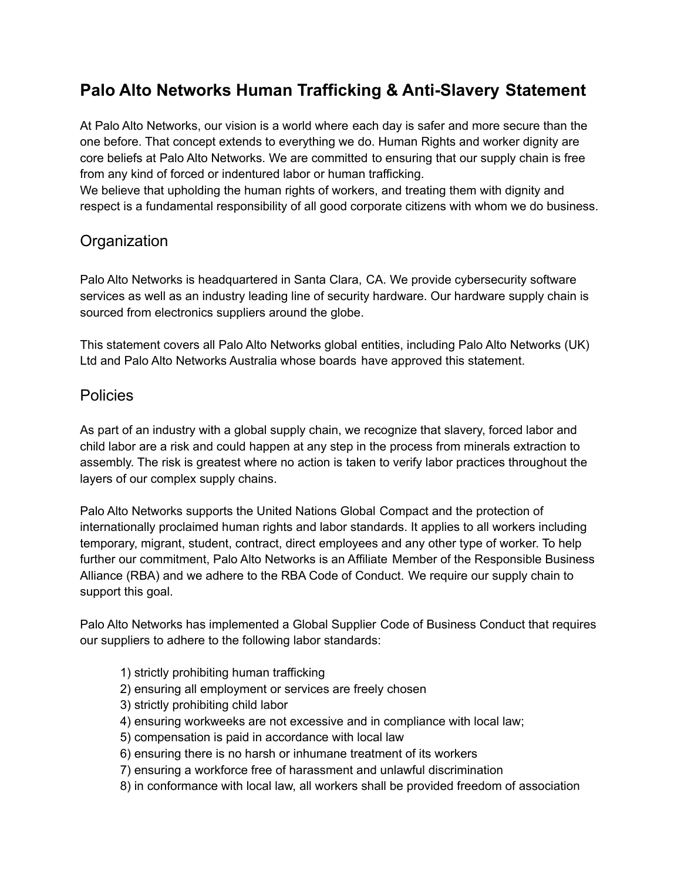# **Palo Alto Networks Human Trafficking & Anti-Slavery Statement**

At Palo Alto Networks, our vision is a world where each day is safer and more secure than the one before. That concept extends to everything we do. Human Rights and worker dignity are core beliefs at Palo Alto Networks. We are committed to ensuring that our supply chain is free from any kind of forced or indentured labor or human trafficking.

We believe that upholding the human rights of workers, and treating them with dignity and respect is a fundamental responsibility of all good corporate citizens with whom we do business.

### **Organization**

Palo Alto Networks is headquartered in Santa Clara, CA. We provide cybersecurity software services as well as an industry leading line of security hardware. Our hardware supply chain is sourced from electronics suppliers around the globe.

This statement covers all Palo Alto Networks global entities, including Palo Alto Networks (UK) Ltd and Palo Alto Networks Australia whose boards have approved this statement.

### Policies

As part of an industry with a global supply chain, we recognize that slavery, forced labor and child labor are a risk and could happen at any step in the process from minerals extraction to assembly. The risk is greatest where no action is taken to verify labor practices throughout the layers of our complex supply chains.

Palo Alto Networks supports the United Nations Global Compact and the protection of internationally proclaimed human rights and labor standards. It applies to all workers including temporary, migrant, student, contract, direct employees and any other type of worker. To help further our commitment, Palo Alto Networks is an Affiliate Member of the Responsible Business Alliance (RBA) and we adhere to the RBA Code of Conduct. We require our supply chain to support this goal.

Palo Alto Networks has implemented a Global Supplier Code of Business Conduct that requires our suppliers to adhere to the following labor standards:

- 1) strictly prohibiting human trafficking
- 2) ensuring all employment or services are freely chosen
- 3) strictly prohibiting child labor
- 4) ensuring workweeks are not excessive and in compliance with local law;
- 5) compensation is paid in accordance with local law
- 6) ensuring there is no harsh or inhumane treatment of its workers
- 7) ensuring a workforce free of harassment and unlawful discrimination
- 8) in conformance with local law, all workers shall be provided freedom of association